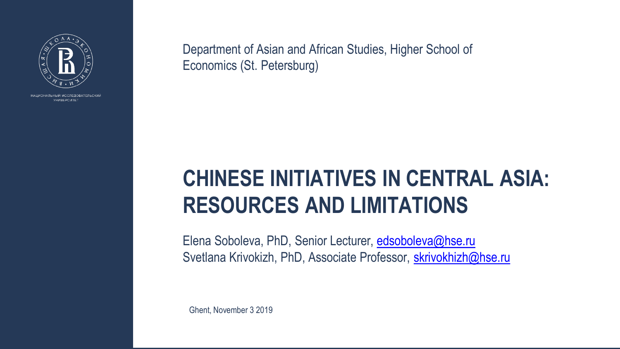

НАЦИОНАЛЬНЫЙ ИССЛЕДОВАТЕЛЬСКИЙ УНИВЕРСИТЕТ

### **CHINESE INITIATIVES IN CENTRAL ASIA: RESOURCES AND LIMITATIONS**

Elena Soboleva, PhD, Senior Lecturer, edsoboleva@hse.ru Svetlana Krivokizh, PhD, Associate Professor, skrivokhizh@hse.ru

Department of Asian and African Studies, Higher School of Economics (St. Petersburg)

Ghent, November 3 2019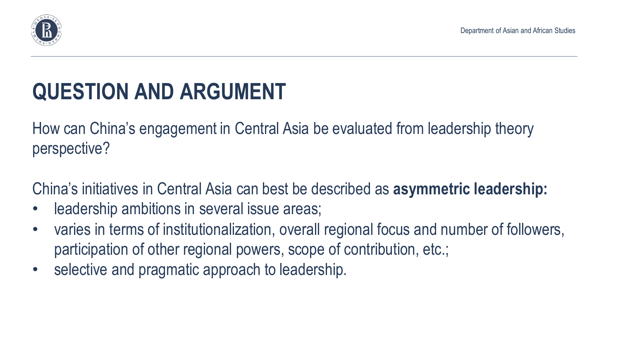

# **QUESTION AND ARGUMENT**

How can China's engagement in Central Asia be evaluated from leadership theory perspective?

- leadership ambitions in several issue areas;
- participation of other regional powers, scope of contribution, etc.;
- selective and pragmatic approach to leadership.

China's initiatives in Central Asia can best be described as **asymmetric leadership:** 

Department of Asian and African Studies

varies in terms of institutionalization, overall regional focus and number of followers,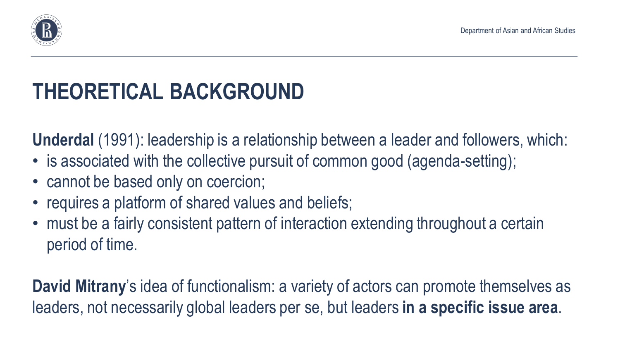

## **THEORETICAL BACKGROUND**

**Underdal** (1991): leadership is a relationship between a leader and followers, which: • is associated with the collective pursuit of common good (agenda-setting);

- 
- cannot be based only on coercion;
- requires a platform of shared values and beliefs;
- must be a fairly consistent pattern of interaction extending throughout a certain period of time.

**David Mitrany**'s idea of functionalism: a variety of actors can promote themselves as leaders, not necessarily global leaders per se, but leaders **in a specific issue area**.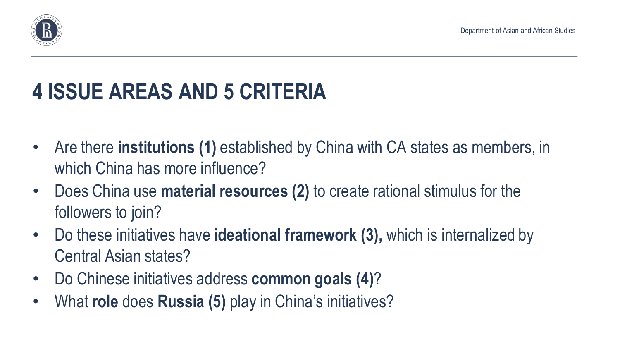

# **4 ISSUE AREAS AND 5 CRITERIA**

- Are there **institutions (1)** established by China with CA states as members, in which China has more influence?
- Does China use **material resources (2)** to create rational stimulus for the followers to join?
- Do these initiatives have **ideational framework (3),** which is internalized by Central Asian states?
- Do Chinese initiatives address **common goals (4)**?
- What **role** does **Russia (5)** play in China's initiatives?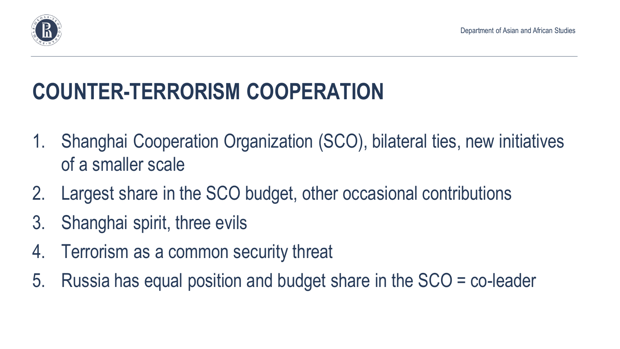

# **COUNTER-TERRORISM COOPERATION**

1. Shanghai Cooperation Organization (SCO), bilateral ties, new initiatives

- of a smaller scale
- 2. Largest share in the SCO budget, other occasional contributions
- 3. Shanghai spirit, three evils
- 4. Terrorism as a common security threat
- 5. Russia has equal position and budget share in the SCO = co-leader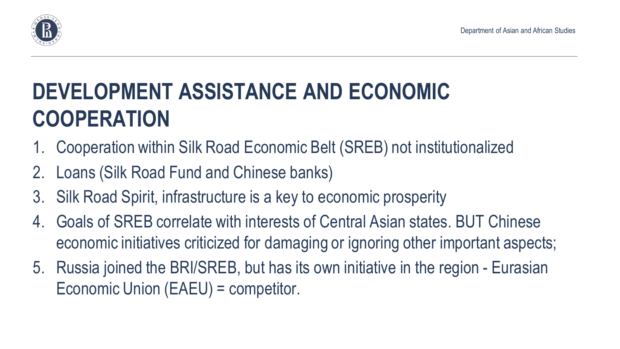

### **DEVELOPMENT ASSISTANCE AND ECONOMIC COOPERATION**

- 1. Cooperation within Silk Road Economic Belt (SREB) not institutionalized 2. Loans (Silk Road Fund and Chinese banks)
- 
- 3. Silk Road Spirit, infrastructure is a key to economic prosperity
- 4. Goals of SREB correlate with interests of Central Asian states. BUT Chinese economic initiatives criticized for damaging or ignoring other important aspects;
- 5. Russia joined the BRI/SREB, but has its own initiative in the region Eurasian Economic Union (EAEU) = competitor.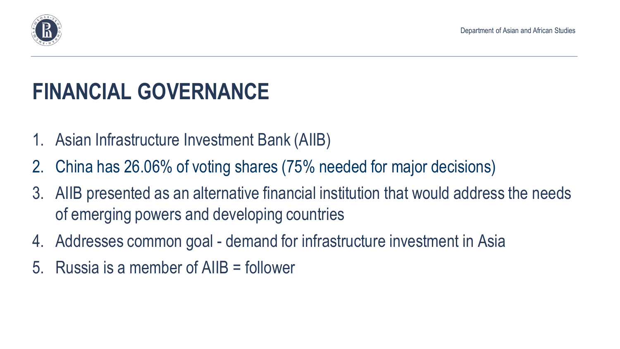

# **FINANCIAL GOVERNANCE**

- 1. Asian Infrastructure Investment Bank (AIIB)
- 2. China has 26.06% of voting shares (75% needed for major decisions)
- 3. AIIB presented as an alternative financial institution that would address the needs of emerging powers and developing countries
- 4. Addresses common goal demand for infrastructure investment in Asia
- 5. Russia is a member of AIIB = follower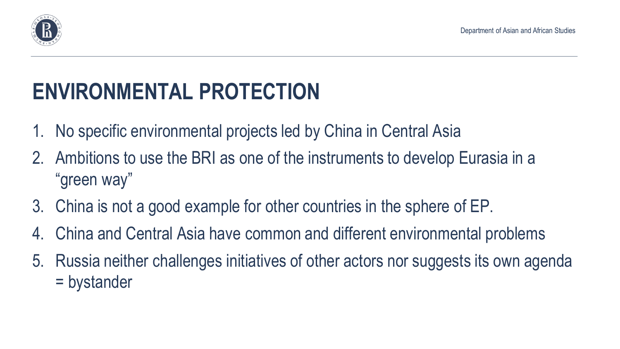

# **ENVIRONMENTAL PROTECTION**

- 1. No specific environmental projects led by China in Central Asia
- 2. Ambitions to use the BRI as one of the instruments to develop Eurasia in a "green way"
- 3. China is not a good example for other countries in the sphere of EP.
- 4. China and Central Asia have common and different environmental problems
- 5. Russia neither challenges initiatives of other actors nor suggests its own agenda = bystander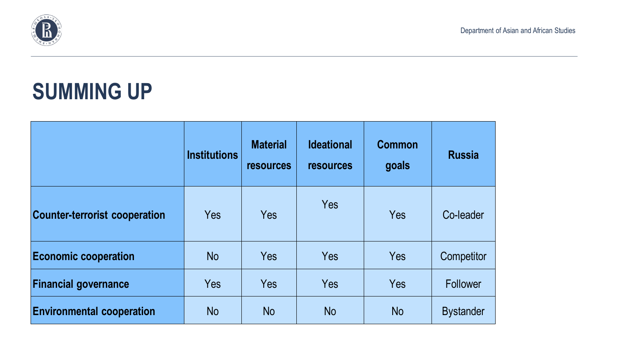

### **SUMMING UP**

|                                      | <b>Institutions</b> | <b>Material</b><br><b>resources</b> | <b>Ideational</b><br><b>resources</b> | <b>Common</b><br>goals | <b>Russia</b>    |
|--------------------------------------|---------------------|-------------------------------------|---------------------------------------|------------------------|------------------|
| <b>Counter-terrorist cooperation</b> | Yes                 | Yes                                 | Yes                                   | Yes                    | Co-leader        |
| <b>Economic cooperation</b>          | <b>No</b>           | Yes                                 | Yes                                   | Yes                    | Competitor       |
| <b>Financial governance</b>          | Yes                 | Yes                                 | Yes                                   | Yes                    | Follower         |
| <b>Environmental cooperation</b>     | <b>No</b>           | <b>No</b>                           | <b>No</b>                             | <b>No</b>              | <b>Bystander</b> |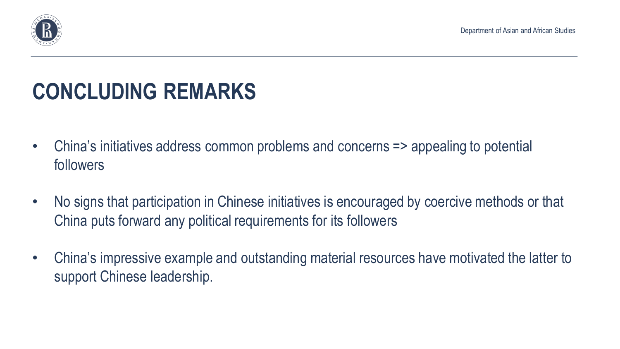

# **CONCLUDING REMARKS**

- China's initiatives address common problems and concerns => appealing to potential followers
- China puts forward any political requirements for its followers
- support Chinese leadership.

• China's impressive example and outstanding material resources have motivated the latter to

Department of Asian and African Studies

• No signs that participation in Chinese initiatives is encouraged by coercive methods or that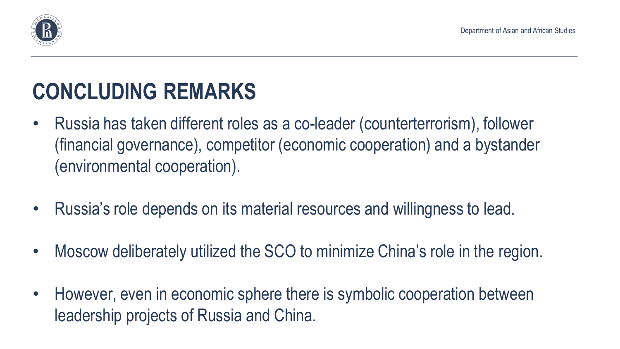

### **CONCLUDING REMARKS**

- Russia has taken different roles as a co-leader (counterterrorism), follower (financial governance), competitor (economic cooperation) and a bystander (environmental cooperation).
- Russia's role depends on its material resources and willingness to lead.
- Moscow deliberately utilized the SCO to minimize China's role in the region.
- However, even in economic sphere there is symbolic cooperation between leadership projects of Russia and China.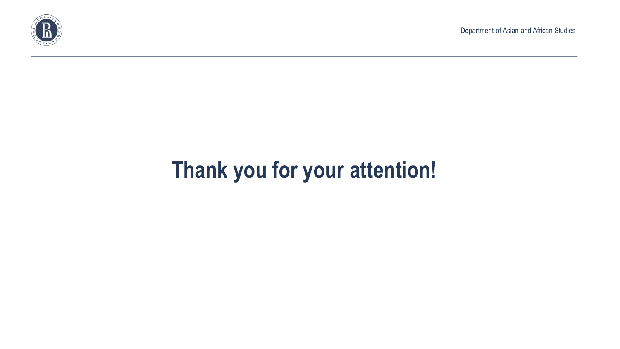

## **Thank you for your attention!**